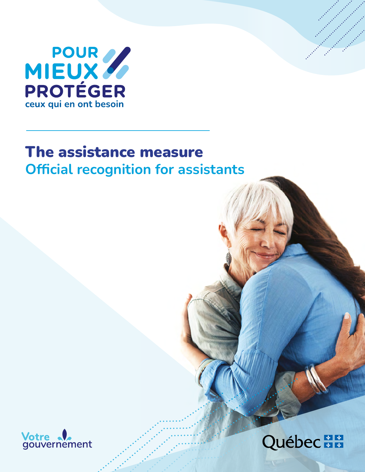

# The assistance measure **Official recognition for assistants**



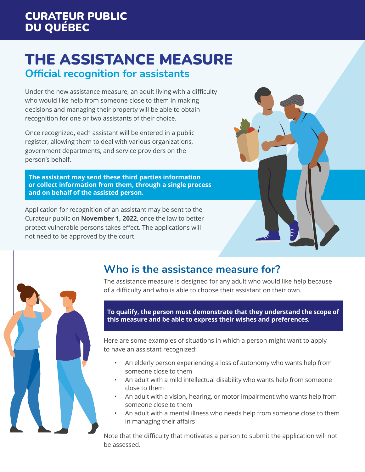## THE ASSISTANCE MEASURE **Official recognition for assistants**

Under the new assistance measure, an adult living with a difficulty who would like help from someone close to them in making decisions and managing their property will be able to obtain recognition for one or two assistants of their choice.

Once recognized, each assistant will be entered in a public register, allowing them to deal with various organizations, government departments, and service providers on the person's behalf.

**The assistant may send these third parties information or collect information from them, through a single process and on behalf of the assisted person.**

Application for recognition of an assistant may be sent to the Curateur public on **November 1, 2022**, once the law to better protect vulnerable persons takes effect. The applications will not need to be approved by the court.



## **Who is the assistance measure for?**

The assistance measure is designed for any adult who would like help because of a difficulty and who is able to choose their assistant on their own.

**To qualify, the person must demonstrate that they understand the scope of this measure and be able to express their wishes and preferences.** 

Here are some examples of situations in which a person might want to apply to have an assistant recognized:

- An elderly person experiencing a loss of autonomy who wants help from someone close to them
- An adult with a mild intellectual disability who wants help from someone close to them
- An adult with a vision, hearing, or motor impairment who wants help from someone close to them
- An adult with a mental illness who needs help from someone close to them in managing their affairs

Note that the difficulty that motivates a person to submit the application will not be assessed.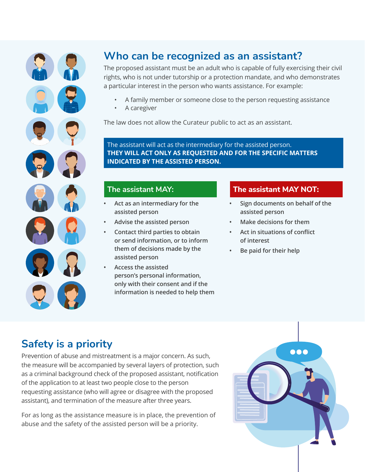

## **Who can be recognized as an assistant?**

The proposed assistant must be an adult who is capable of fully exercising their civil rights, who is not under tutorship or a protection mandate, and who demonstrates a particular interest in the person who wants assistance. For example:

- A family member or someone close to the person requesting assistance
- A caregiver

The law does not allow the Curateur public to act as an assistant.

The assistant will act as the intermediary for the assisted person. **THEY WILL ACT ONLY AS REQUESTED AND FOR THE SPECIFIC MATTERS INDICATED BY THE ASSISTED PERSON.** 

### **The assistant MAY:**

- **• Act as an intermediary for the assisted person**
- **• Advise the assisted person**
- **• Contact third parties to obtain or send information, or to inform them of decisions made by the assisted person**
- **• Access the assisted person's personal information, only with their consent and if the information is needed to help them**

### **The assistant MAY NOT:**

- **• Sign documents on behalf of the assisted person**
- **• Make decisions for them**
- **• Act in situations of conflict of interest**
- **• Be paid for their help**

## **Safety is a priority**

Prevention of abuse and mistreatment is a major concern. As such, the measure will be accompanied by several layers of protection, such as a criminal background check of the proposed assistant, notification of the application to at least two people close to the person requesting assistance (who will agree or disagree with the proposed assistant), and termination of the measure after three years.

For as long as the assistance measure is in place, the prevention of abuse and the safety of the assisted person will be a priority.